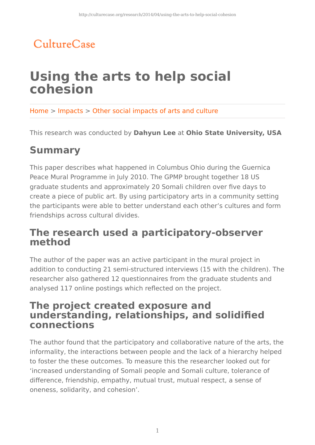## CultureCase

# **Using the arts to help social cohesion**

Home > Impacts > Other social impacts of arts and culture

This research was conducted by **Dahyun Lee** at **Ohio State University, USA**

### **Summary**

This paper describes what happened in Columbus Ohio during the Guernica Peace Mural Programme in July 2010. The GPMP brought together 18 US graduate students and approximately 20 Somali children over five days to create a piece of public art. By using participatory arts in a community setting the participants were able to better understand each other's cultures and form friendships across cultural divides.

### **The research used a participatory-observer method**

The author of the paper was an active participant in the mural project in addition to conducting 21 semi-structured interviews (15 with the children). The researcher also gathered 12 questionnaires from the graduate students and analysed 117 online postings which reflected on the project.

#### **The project created exposure and understanding, relationships, and solidified connections**

The author found that the participatory and collaborative nature of the arts, the informality, the interactions between people and the lack of a hierarchy helped to foster the these outcomes. To measure this the researcher looked out for 'increased understanding of Somali people and Somali culture, tolerance of difference, friendship, empathy, mutual trust, mutual respect, a sense of oneness, solidarity, and cohesion'.